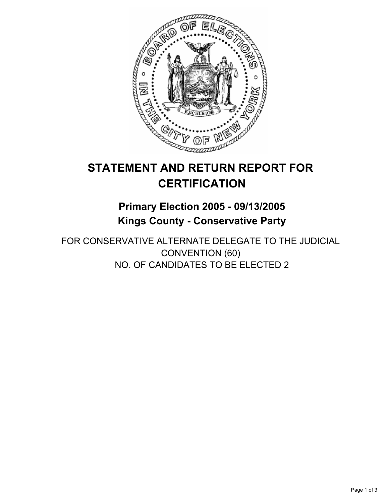

# **STATEMENT AND RETURN REPORT FOR CERTIFICATION**

## **Primary Election 2005 - 09/13/2005 Kings County - Conservative Party**

FOR CONSERVATIVE ALTERNATE DELEGATE TO THE JUDICIAL CONVENTION (60) NO. OF CANDIDATES TO BE ELECTED 2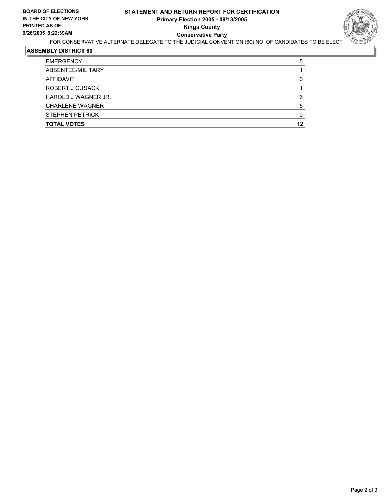

#### **ASSEMBLY DISTRICT 60**

| <b>EMERGENCY</b>       | 5  |
|------------------------|----|
| ABSENTEE/MILITARY      |    |
| AFFIDAVIT              |    |
| ROBERT J CUSACK        |    |
| HAROLD J WAGNER JR.    | 6  |
| <b>CHARLENE WAGNER</b> |    |
| <b>STEPHEN PETRICK</b> |    |
| <b>TOTAL VOTES</b>     | 12 |